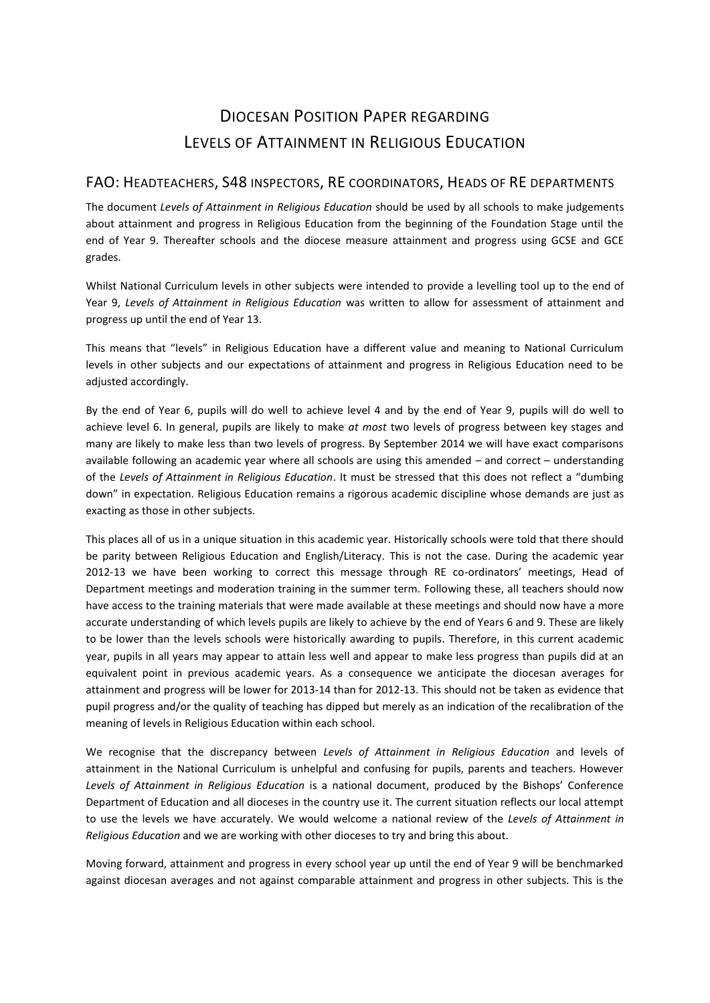## DIOCESAN POSITION PAPER REGARDING LEVELS OF ATTAINMENT IN RELIGIOUS EDUCATION

## FAO: HEADTEACHERS, S48 INSPECTORS, RE COORDINATORS, HEADS OF RE DEPARTMENTS

The document *Levels of Attainment in Religious Education* should be used by all schools to make judgements about attainment and progress in Religious Education from the beginning of the Foundation Stage until the end of Year 9. Thereafter schools and the diocese measure attainment and progress using GCSE and GCE grades.

Whilst National Curriculum levels in other subjects were intended to provide a levelling tool up to the end of Year 9, *Levels of Attainment in Religious Education* was written to allow for assessment of attainment and progress up until the end of Year 13.

This means that "levels" in Religious Education have a different value and meaning to National Curriculum levels in other subjects and our expectations of attainment and progress in Religious Education need to be adjusted accordingly.

By the end of Year 6, pupils will do well to achieve level 4 and by the end of Year 9, pupils will do well to achieve level 6. In general, pupils are likely to make *at most* two levels of progress between key stages and many are likely to make less than two levels of progress. By September 2014 we will have exact comparisons available following an academic year where all schools are using this amended – and correct – understanding of the *Levels of Attainment in Religious Education*. It must be stressed that this does not reflect a "dumbing down" in expectation. Religious Education remains a rigorous academic discipline whose demands are just as exacting as those in other subjects.

This places all of us in a unique situation in this academic year. Historically schools were told that there should be parity between Religious Education and English/Literacy. This is not the case. During the academic year 2012-13 we have been working to correct this message through RE co-ordinators' meetings, Head of Department meetings and moderation training in the summer term. Following these, all teachers should now have access to the training materials that were made available at these meetings and should now have a more accurate understanding of which levels pupils are likely to achieve by the end of Years 6 and 9. These are likely to be lower than the levels schools were historically awarding to pupils. Therefore, in this current academic year, pupils in all years may appear to attain less well and appear to make less progress than pupils did at an equivalent point in previous academic years. As a consequence we anticipate the diocesan averages for attainment and progress will be lower for 2013-14 than for 2012-13. This should not be taken as evidence that pupil progress and/or the quality of teaching has dipped but merely as an indication of the recalibration of the meaning of levels in Religious Education within each school.

We recognise that the discrepancy between *Levels of Attainment in Religious Education* and levels of attainment in the National Curriculum is unhelpful and confusing for pupils, parents and teachers. However *Levels of Attainment in Religious Education* is a national document, produced by the Bishops' Conference Department of Education and all dioceses in the country use it. The current situation reflects our local attempt to use the levels we have accurately. We would welcome a national review of the *Levels of Attainment in Religious Education* and we are working with other dioceses to try and bring this about.

Moving forward, attainment and progress in every school year up until the end of Year 9 will be benchmarked against diocesan averages and not against comparable attainment and progress in other subjects. This is the